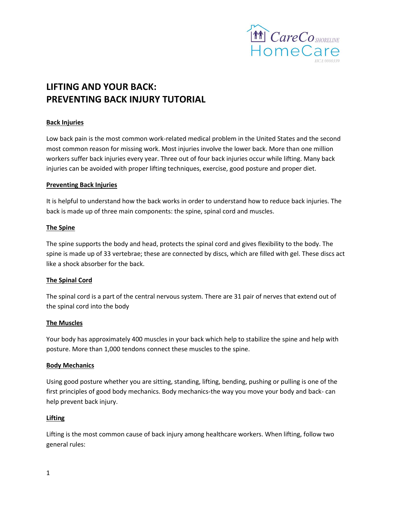

# **LIFTING AND YOUR BACK: PREVENTING BACK INJURY TUTORIAL**

## **Back Injuries**

Low back pain is the most common work-related medical problem in the United States and the second most common reason for missing work. Most injuries involve the lower back. More than one million workers suffer back injuries every year. Three out of four back injuries occur while lifting. Many back injuries can be avoided with proper lifting techniques, exercise, good posture and proper diet.

#### **Preventing Back Injuries**

It is helpful to understand how the back works in order to understand how to reduce back injuries. The back is made up of three main components: the spine, spinal cord and muscles.

## **The Spine**

The spine supports the body and head, protects the spinal cord and gives flexibility to the body. The spine is made up of 33 vertebrae; these are connected by discs, which are filled with gel. These discs act like a shock absorber for the back.

## **The Spinal Cord**

The spinal cord is a part of the central nervous system. There are 31 pair of nerves that extend out of the spinal cord into the body

## **The Muscles**

Your body has approximately 400 muscles in your back which help to stabilize the spine and help with posture. More than 1,000 tendons connect these muscles to the spine.

#### **Body Mechanics**

Using good posture whether you are sitting, standing, lifting, bending, pushing or pulling is one of the first principles of good body mechanics. Body mechanics-the way you move your body and back- can help prevent back injury.

#### **Lifting**

Lifting is the most common cause of back injury among healthcare workers. When lifting, follow two general rules: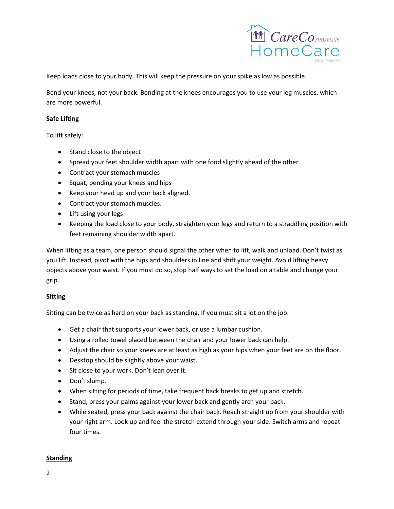

Keep loads close to your body. This will keep the pressure on your spike as low as possible.

Bend your knees, not your back. Bending at the knees encourages you to use your leg muscles, which are more powerful.

## **Safe Lifting**

To lift safely:

- Stand close to the object
- Spread your feet shoulder width apart with one food slightly ahead of the other
- Contract your stomach muscles
- Squat, bending your knees and hips
- Keep your head up and your back aligned.
- Contract your stomach muscles.
- Lift using your legs
- Keeping the load close to your body, straighten your legs and return to a straddling position with feet remaining shoulder width apart.

When lifting as a team, one person should signal the other when to lift, walk and unload. Don't twist as you lift. Instead, pivot with the hips and shoulders in line and shift your weight. Avoid lifting heavy objects above your waist. If you must do so, stop half ways to set the load on a table and change your grip.

## **Sitting**

Sitting can be twice as hard on your back as standing. If you must sit a lot on the job:

- Get a chair that supports your lower back, or use a lumbar cushion.
- Using a rolled towel placed between the chair and your lower back can help.
- Adjust the chair so your knees are at least as high as your hips when your feet are on the floor.
- Desktop should be slightly above your waist.
- Sit close to your work. Don't lean over it.
- Don't slump.
- When sitting for periods of time, take frequent back breaks to get up and stretch.
- Stand, press your palms against your lower back and gently arch your back.
- While seated, press your back against the chair back. Reach straight up from your shoulder with your right arm. Look up and feel the stretch extend through your side. Switch arms and repeat four times.

## **Standing**